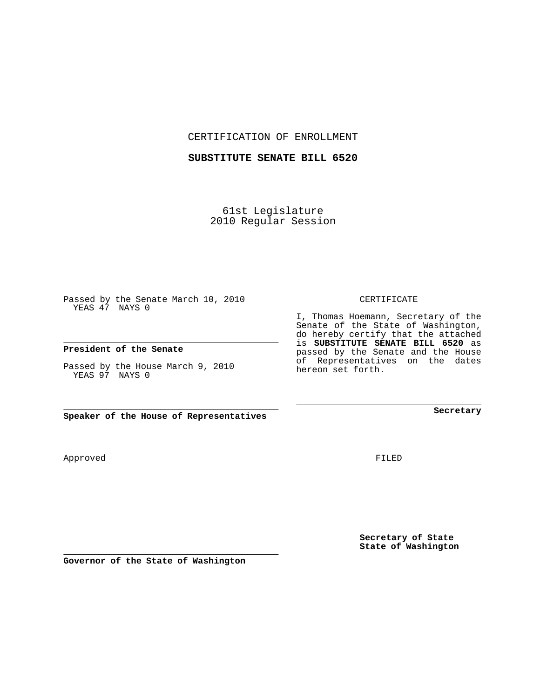CERTIFICATION OF ENROLLMENT

## **SUBSTITUTE SENATE BILL 6520**

61st Legislature 2010 Regular Session

Passed by the Senate March 10, 2010 YEAS 47 NAYS 0

### **President of the Senate**

Passed by the House March 9, 2010 YEAS 97 NAYS 0

**Speaker of the House of Representatives**

Approved

FILED

**Secretary of State State of Washington**

**Secretary**

#### CERTIFICATE

I, Thomas Hoemann, Secretary of the Senate of the State of Washington, do hereby certify that the attached is **SUBSTITUTE SENATE BILL 6520** as passed by the Senate and the House of Representatives on the dates hereon set forth.

**Governor of the State of Washington**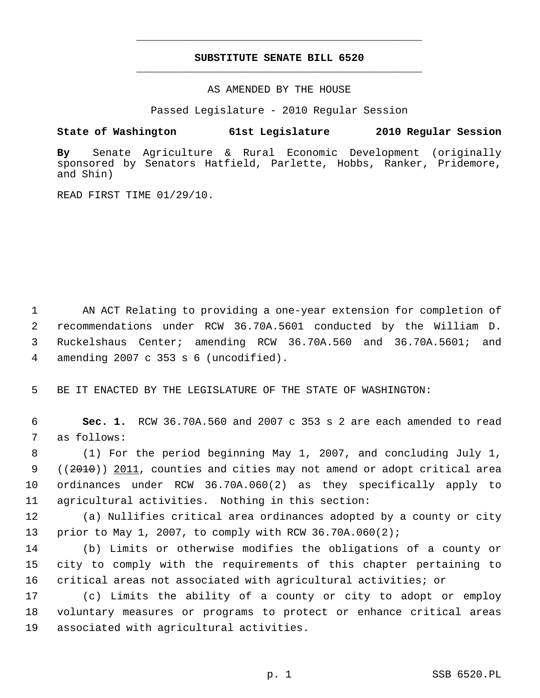# **SUBSTITUTE SENATE BILL 6520** \_\_\_\_\_\_\_\_\_\_\_\_\_\_\_\_\_\_\_\_\_\_\_\_\_\_\_\_\_\_\_\_\_\_\_\_\_\_\_\_\_\_\_\_\_

\_\_\_\_\_\_\_\_\_\_\_\_\_\_\_\_\_\_\_\_\_\_\_\_\_\_\_\_\_\_\_\_\_\_\_\_\_\_\_\_\_\_\_\_\_

AS AMENDED BY THE HOUSE

Passed Legislature - 2010 Regular Session

# **State of Washington 61st Legislature 2010 Regular Session**

**By** Senate Agriculture & Rural Economic Development (originally sponsored by Senators Hatfield, Parlette, Hobbs, Ranker, Pridemore, and Shin)

READ FIRST TIME 01/29/10.

 1 AN ACT Relating to providing a one-year extension for completion of 2 recommendations under RCW 36.70A.5601 conducted by the William D. 3 Ruckelshaus Center; amending RCW 36.70A.560 and 36.70A.5601; and 4 amending 2007 c 353 s 6 (uncodified).

5 BE IT ENACTED BY THE LEGISLATURE OF THE STATE OF WASHINGTON:

 6 **Sec. 1.** RCW 36.70A.560 and 2007 c 353 s 2 are each amended to read 7 as follows:

 8 (1) For the period beginning May 1, 2007, and concluding July 1, 9 ((2010)) 2011, counties and cities may not amend or adopt critical area 10 ordinances under RCW 36.70A.060(2) as they specifically apply to 11 agricultural activities. Nothing in this section:

12 (a) Nullifies critical area ordinances adopted by a county or city 13 prior to May 1, 2007, to comply with RCW 36.70A.060(2);

14 (b) Limits or otherwise modifies the obligations of a county or 15 city to comply with the requirements of this chapter pertaining to 16 critical areas not associated with agricultural activities; or

17 (c) Limits the ability of a county or city to adopt or employ 18 voluntary measures or programs to protect or enhance critical areas 19 associated with agricultural activities.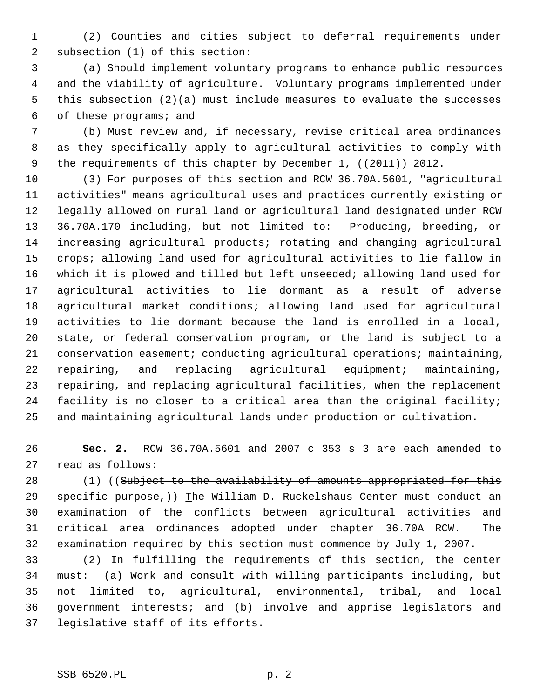1 (2) Counties and cities subject to deferral requirements under 2 subsection (1) of this section:

 3 (a) Should implement voluntary programs to enhance public resources 4 and the viability of agriculture. Voluntary programs implemented under 5 this subsection (2)(a) must include measures to evaluate the successes 6 of these programs; and

 7 (b) Must review and, if necessary, revise critical area ordinances 8 as they specifically apply to agricultural activities to comply with 9 the requirements of this chapter by December 1, ((2011)) 2012.

10 (3) For purposes of this section and RCW 36.70A.5601, "agricultural 11 activities" means agricultural uses and practices currently existing or 12 legally allowed on rural land or agricultural land designated under RCW 13 36.70A.170 including, but not limited to: Producing, breeding, or 14 increasing agricultural products; rotating and changing agricultural 15 crops; allowing land used for agricultural activities to lie fallow in 16 which it is plowed and tilled but left unseeded; allowing land used for 17 agricultural activities to lie dormant as a result of adverse 18 agricultural market conditions; allowing land used for agricultural 19 activities to lie dormant because the land is enrolled in a local, 20 state, or federal conservation program, or the land is subject to a 21 conservation easement; conducting agricultural operations; maintaining, 22 repairing, and replacing agricultural equipment; maintaining, 23 repairing, and replacing agricultural facilities, when the replacement 24 facility is no closer to a critical area than the original facility; 25 and maintaining agricultural lands under production or cultivation.

26 **Sec. 2.** RCW 36.70A.5601 and 2007 c 353 s 3 are each amended to 27 read as follows:

28 (1) ((Subject to the availability of amounts appropriated for this 29  $spectific purpose$ ;)) The William D. Ruckelshaus Center must conduct an 30 examination of the conflicts between agricultural activities and 31 critical area ordinances adopted under chapter 36.70A RCW. The 32 examination required by this section must commence by July 1, 2007.

33 (2) In fulfilling the requirements of this section, the center 34 must: (a) Work and consult with willing participants including, but 35 not limited to, agricultural, environmental, tribal, and local 36 government interests; and (b) involve and apprise legislators and 37 legislative staff of its efforts.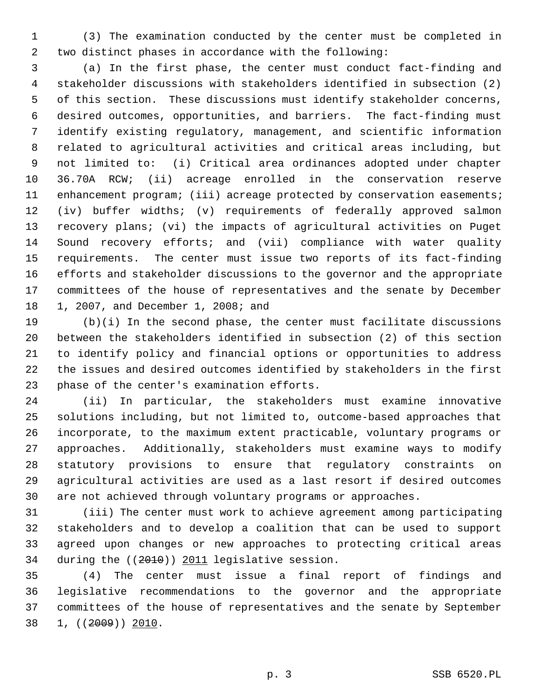1 (3) The examination conducted by the center must be completed in 2 two distinct phases in accordance with the following:

 3 (a) In the first phase, the center must conduct fact-finding and 4 stakeholder discussions with stakeholders identified in subsection (2) 5 of this section. These discussions must identify stakeholder concerns, 6 desired outcomes, opportunities, and barriers. The fact-finding must 7 identify existing regulatory, management, and scientific information 8 related to agricultural activities and critical areas including, but 9 not limited to: (i) Critical area ordinances adopted under chapter 10 36.70A RCW; (ii) acreage enrolled in the conservation reserve 11 enhancement program; (iii) acreage protected by conservation easements; 12 (iv) buffer widths; (v) requirements of federally approved salmon 13 recovery plans; (vi) the impacts of agricultural activities on Puget 14 Sound recovery efforts; and (vii) compliance with water quality 15 requirements. The center must issue two reports of its fact-finding 16 efforts and stakeholder discussions to the governor and the appropriate 17 committees of the house of representatives and the senate by December 18 1, 2007, and December 1, 2008; and

19 (b)(i) In the second phase, the center must facilitate discussions 20 between the stakeholders identified in subsection (2) of this section 21 to identify policy and financial options or opportunities to address 22 the issues and desired outcomes identified by stakeholders in the first 23 phase of the center's examination efforts.

24 (ii) In particular, the stakeholders must examine innovative 25 solutions including, but not limited to, outcome-based approaches that 26 incorporate, to the maximum extent practicable, voluntary programs or 27 approaches. Additionally, stakeholders must examine ways to modify 28 statutory provisions to ensure that regulatory constraints on 29 agricultural activities are used as a last resort if desired outcomes 30 are not achieved through voluntary programs or approaches.

31 (iii) The center must work to achieve agreement among participating 32 stakeholders and to develop a coalition that can be used to support 33 agreed upon changes or new approaches to protecting critical areas 34 during the ((2010)) 2011 legislative session.

35 (4) The center must issue a final report of findings and 36 legislative recommendations to the governor and the appropriate 37 committees of the house of representatives and the senate by September 38 1, ((2009)) 2010.